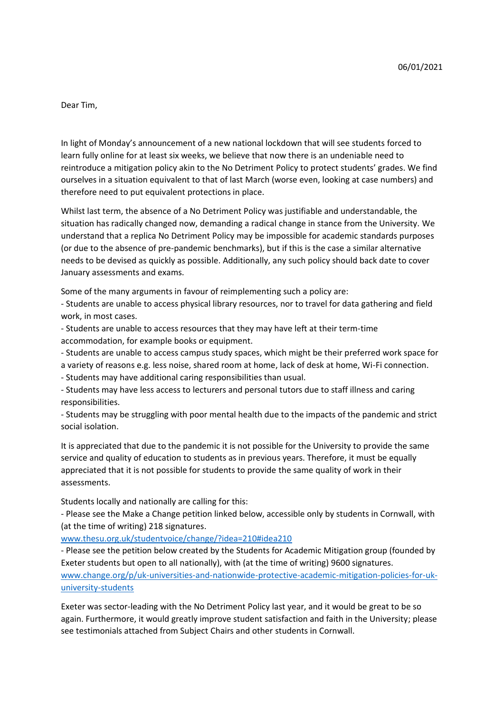Dear Tim,

In light of Monday's announcement of a new national lockdown that will see students forced to learn fully online for at least six weeks, we believe that now there is an undeniable need to reintroduce a mitigation policy akin to the No Detriment Policy to protect students' grades. We find ourselves in a situation equivalent to that of last March (worse even, looking at case numbers) and therefore need to put equivalent protections in place.

Whilst last term, the absence of a No Detriment Policy was justifiable and understandable, the situation has radically changed now, demanding a radical change in stance from the University. We understand that a replica No Detriment Policy may be impossible for academic standards purposes (or due to the absence of pre-pandemic benchmarks), but if this is the case a similar alternative needs to be devised as quickly as possible. Additionally, any such policy should back date to cover January assessments and exams.

Some of the many arguments in favour of reimplementing such a policy are:

- Students are unable to access physical library resources, nor to travel for data gathering and field work, in most cases.

- Students are unable to access resources that they may have left at their term-time accommodation, for example books or equipment.

- Students are unable to access campus study spaces, which might be their preferred work space for a variety of reasons e.g. less noise, shared room at home, lack of desk at home, Wi-Fi connection.
- Students may have additional caring responsibilities than usual.

- Students may have less access to lecturers and personal tutors due to staff illness and caring responsibilities.

- Students may be struggling with poor mental health due to the impacts of the pandemic and strict social isolation.

It is appreciated that due to the pandemic it is not possible for the University to provide the same service and quality of education to students as in previous years. Therefore, it must be equally appreciated that it is not possible for students to provide the same quality of work in their assessments.

Students locally and nationally are calling for this:

- Please see the Make a Change petition linked below, accessible only by students in Cornwall, with (at the time of writing) 218 signatures.

[www.thesu.org.uk/studentvoice/change/?idea=210#idea210](http://www.thesu.org.uk/studentvoice/change/?idea=210#idea210)

- Please see the petition below created by the Students for Academic Mitigation group (founded by Exeter students but open to all nationally), with (at the time of writing) 9600 signatures. [www.change.org/p/uk-universities-and-nationwide-protective-academic-mitigation-policies-for-uk](http://www.change.org/p/uk-universities-and-nationwide-protective-academic-mitigation-policies-for-uk-university-students)[university-students](http://www.change.org/p/uk-universities-and-nationwide-protective-academic-mitigation-policies-for-uk-university-students)

Exeter was sector-leading with the No Detriment Policy last year, and it would be great to be so again. Furthermore, it would greatly improve student satisfaction and faith in the University; please see testimonials attached from Subject Chairs and other students in Cornwall.